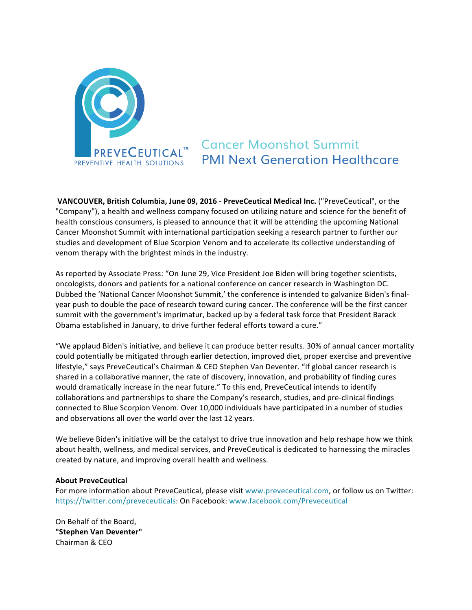

## **Cancer Moonshot Summit PMI Next Generation Healthcare**

**VANCOUVER, British Columbia, June 09, 2016 - PreveCeutical Medical Inc. ("PreveCeutical", or the** "Company"), a health and wellness company focused on utilizing nature and science for the benefit of health conscious consumers, is pleased to announce that it will be attending the upcoming National Cancer Moonshot Summit with international participation seeking a research partner to further our studies and development of Blue Scorpion Venom and to accelerate its collective understanding of venom therapy with the brightest minds in the industry.

As reported by Associate Press: "On June 29, Vice President Joe Biden will bring together scientists, oncologists, donors and patients for a national conference on cancer research in Washington DC. Dubbed the 'National Cancer Moonshot Summit,' the conference is intended to galvanize Biden's finalyear push to double the pace of research toward curing cancer. The conference will be the first cancer summit with the government's imprimatur, backed up by a federal task force that President Barack Obama established in January, to drive further federal efforts toward a cure."

"We applaud Biden's initiative, and believe it can produce better results. 30% of annual cancer mortality could potentially be mitigated through earlier detection, improved diet, proper exercise and preventive lifestyle," says PreveCeutical's Chairman & CEO Stephen Van Deventer. "If global cancer research is shared in a collaborative manner, the rate of discovery, innovation, and probability of finding cures would dramatically increase in the near future." To this end, PreveCeutical intends to identify collaborations and partnerships to share the Company's research, studies, and pre-clinical findings connected to Blue Scorpion Venom. Over 10,000 individuals have participated in a number of studies and observations all over the world over the last 12 years.

We believe Biden's initiative will be the catalyst to drive true innovation and help reshape how we think about health, wellness, and medical services, and PreveCeutical is dedicated to harnessing the miracles created by nature, and improving overall health and wellness.

## **About PreveCeutical**

For more information about PreveCeutical, please visit www.preveceutical.com, or follow us on Twitter: https://twitter.com/preveceuticals: On Facebook: www.facebook.com/Preveceutical

On Behalf of the Board, **"Stephen Van Deventer"** Chairman & CEO